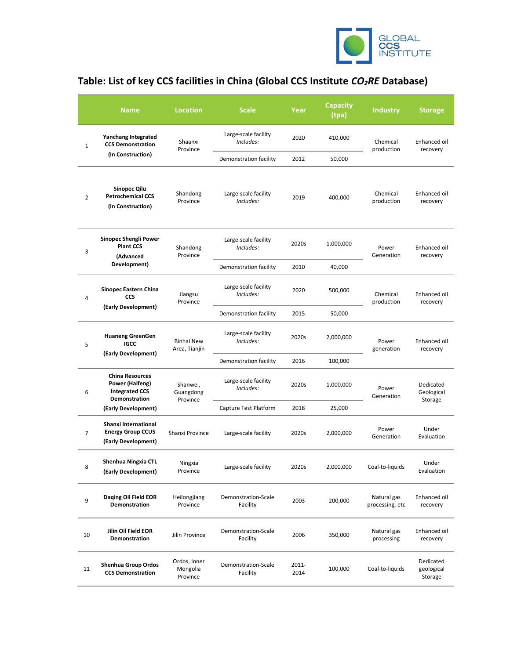

## Table: List of key CCS facilities in China (Global CCS Institute CO<sub>2</sub>RE Database)

|              | <b>Name</b>                                                                         | <b>Location</b>                      | <b>Scale</b>                      | Year          | <b>Capacity</b><br>(tpa) | <b>Industry</b>                | <b>Storage</b>                     |
|--------------|-------------------------------------------------------------------------------------|--------------------------------------|-----------------------------------|---------------|--------------------------|--------------------------------|------------------------------------|
| $\mathbf{1}$ | <b>Yanchang Integrated</b><br><b>CCS Demonstration</b><br>(In Construction)         | Shaanxi<br>Province                  | Large-scale facility<br>Includes: | 2020          | 410,000                  | Chemical<br>production         | Enhanced oil<br>recovery           |
|              |                                                                                     |                                      | Demonstration facility            | 2012          | 50,000                   |                                |                                    |
| 2            | Sinopec Qilu<br><b>Petrochemical CCS</b><br>(In Construction)                       | Shandong<br>Province                 | Large-scale facility<br>Includes: | 2019          | 400,000                  | Chemical<br>production         | Enhanced oil<br>recovery           |
| 3            | Sinopec Shengli Power<br><b>Plant CCS</b><br>(Advanced<br>Development)              | Shandong<br>Province                 | Large-scale facility<br>Includes: | 2020s         | 1,000,000                | Power<br>Generation            | Enhanced oil<br>recovery           |
|              |                                                                                     |                                      | Demonstration facility            | 2010          | 40,000                   |                                |                                    |
| 4            | <b>Sinopec Eastern China</b><br><b>CCS</b><br>(Early Development)                   | Jiangsu<br>Province                  | Large-scale facility<br>Includes: | 2020          | 500,000                  | Chemical<br>production         | Enhanced oil<br>recovery           |
|              |                                                                                     |                                      | Demonstration facility            | 2015          | 50,000                   |                                |                                    |
| 5            | <b>Huaneng GreenGen</b><br><b>IGCC</b><br>(Early Development)                       | <b>Binhai New</b><br>Area, Tianjin   | Large-scale facility<br>Includes: | 2020s         | 2,000,000                | Power<br>generation            | Enhanced oil<br>recovery           |
|              |                                                                                     |                                      | Demonstration facility            | 2016          | 100,000                  |                                |                                    |
| 6            | <b>China Resources</b><br>Power (Haifeng)<br><b>Integrated CCS</b><br>Demonstration | Shanwei,<br>Guangdong<br>Province    | Large-scale facility<br>Includes: | 2020s         | 1,000,000                | Power<br>Generation            | Dedicated<br>Geological<br>Storage |
|              | (Early Development)                                                                 |                                      | Capture Test Platform             | 2018          | 25,000                   |                                |                                    |
| 7            | Shanxi International<br><b>Energy Group CCUS</b><br>(Early Development)             | Shanxi Province                      | Large-scale facility              | 2020s         | 2,000,000                | Power<br>Generation            | Under<br>Evaluation                |
| 8            | Shenhua Ningxia CTL<br>(Early Development)                                          | Ningxia<br>Province                  | Large-scale facility              | 2020s         | 2,000,000                | Coal-to-liquids                | Under<br>Evaluation                |
| 9            | Daqing Oil Field EOR<br>Demonstration                                               | Heilongjiang<br>Province             | Demonstration-Scale<br>Facility   | 2003          | 200,000                  | Natural gas<br>processing, etc | Enhanced oil<br>recovery           |
| 10           | Jilin Oil Field EOR<br>Demonstration                                                | Jilin Province                       | Demonstration-Scale<br>Facility   | 2006          | 350,000                  | Natural gas<br>processing      | Enhanced oil<br>recovery           |
| 11           | Shenhua Group Ordos<br><b>CCS Demonstration</b>                                     | Ordos, Inner<br>Mongolia<br>Province | Demonstration-Scale<br>Facility   | 2011-<br>2014 | 100,000                  | Coal-to-liquids                | Dedicated<br>geological<br>Storage |